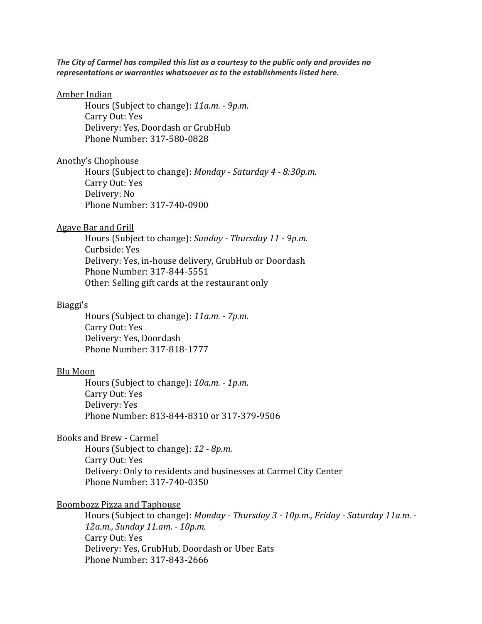*The City of Carmel has compiled this list as a courtesy to the public only and provides no representations or warranties whatsoever as to the establishments listed here.* 

#### [Amber Indian](http://www.amberindianrestaurant.com/?fbclid=IwAR0Uu9pi1OYLuA4-V75GKozOQI_X_GMgtUN6yK4ebrS_4OOr4Cebg2LpSio)

Hours (Subject to change): *11a.m. - 9p.m.* Carry Out: Yes Delivery: Yes, Doordash or GrubHub Phone Number: 317-580-0828

#### [Anothy's Chophouse](https://anthonyschophouse.com/)

Hours (Subject to change): *Monday - Saturday 4 - 8:30p.m.* Carry Out: Yes Delivery: No Phone Number: 317-740-0900

#### [Agave Bar and Grill](https://myagavebarandgrill.com/)

Hours (Subject to change): *Sunday - Thursday 11 - 9p.m.* Curbside: Yes Delivery: Yes, in-house delivery, GrubHub or Doordash Phone Number: 317-844-5551 Other: Selling gift cards at the restaurant only

### [Biaggi's](http://www.biaggis.com/?fbclid=IwAR0-MDeI2tcvtZedL6cdPmKrSaAnUzp-_hpegHZIqHwlcd-C8xhc0mJE8WU)

Hours (Subject to change): *11a.m. - 7p.m.* Carry Out: Yes Delivery: Yes, Doordash Phone Number: 317-818-1777

#### [Blu Moon](http://www.blumooneats.com/index.php/menus/)

Hours (Subject to change): *10a.m. - 1p.m.* Carry Out: Yes Delivery: Yes Phone Number: 813-844-8310 or 317-379-9506

[Books and Brew -](https://www.booksnbrews.com/) Carmel

Hours (Subject to change): *12 - 8p.m.* Carry Out: Yes Delivery: Only to residents and businesses at Carmel City Center Phone Number: 317-740-0350

#### [Boombozz Pizza and Taphouse](https://boombozz.com/indy-carmel/)

Hours (Subject to change): *Monday - Thursday 3 - 10p.m., Friday - Saturday 11a.m. - 12a.m., Sunday 11.am. - 10p.m.* Carry Out: Yes Delivery: Yes, GrubHub, Doordash or Uber Eats Phone Number: 317-843-2666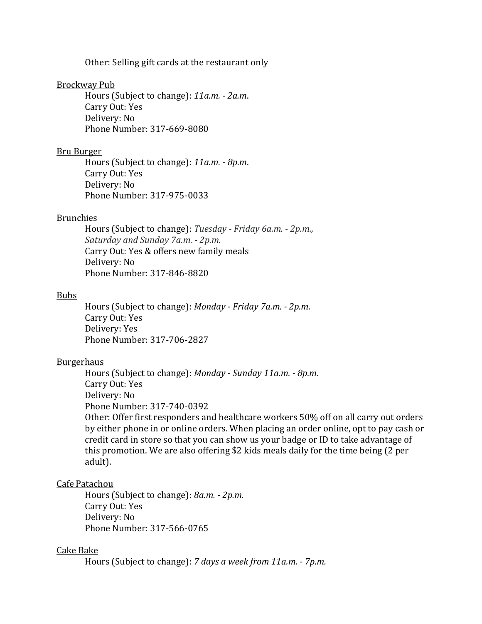Other: Selling gift cards at the restaurant only

#### [Brockway Pub](https://www.brockwaypub.com/lunch-menu?fbclid=IwAR1Iss91m0A0YverlqrkY1zpjBYNZ-zXHdqrg78IQ602KYL_QBgrwIumo9g)

Hours (Subject to change): *11a.m. - 2a.m*. Carry Out: Yes Delivery: No Phone Number: 317-669-8080

## [Bru Burger](https://www.bruburgerbar.com/Locations/Bru-Carmel/?fbclid=IwAR1RruD07rSNCjaVn9_o4oZ-tVjEJx2KUMMcDgMAuW-HwadEFhQkJ0g42l0)

Hours (Subject to change): *11a.m. - 8p.m*. Carry Out: Yes Delivery: No Phone Number: 317-975-0033

### [Brunchies](https://l.facebook.com/l.php?u=http%3A%2F%2Fwww.brunchiesdinercarmel.com%2F%3Ffbclid%3DIwAR2HThJ_XR_aFyD_HXKUf2W17BK7kT1nO0YNnuvTyoH8P0-FDTLud5Msdw4&h=AT0_IOohiA_aDqNo80gZV5YTfeu2_WvSikfuws4bfFrMbjKbH7KzQFw-DvMJgkpy-MnumL38iZa_rClHESowsiQ8ePzYODNTuKbI8fV_TOx0gvqqmgmIwldERUncXpywA4sCH1d29PAweihmeR7am1SEu-CvPQK13fLN_knTdDjdkszjnJt_iJfvTYjzHt4jRmf9iON48HjIgKD-bQkG2JygF9bs2Ji5dt-ncBTcG_ttGsknfsCNwZNstRGvRS-iLq-ZSFyjsQX_bG6VJyuLVDR7V53RH48NUPFdalyJAQmMkNO5TUY1tKggELqxZFFJt2VJwKivq6ufTv_4NvXgLiDEX6CdCjZDSC-PQO_1KtkLmto2bbVVI13F1B3Z07Qtnl4feIWAhrnUhH3i3eFRp1edl2Ka91_b4nKhSzufAbT1Jrqg0ciiP3bAwoqfP-VMhXVkEnULT299HMXNndnkasenNtLOtxGPJAwzv_boleyAxq5wNszrLkF1QjUyOgcEG8x7zKy0QPsAeZYTu3I6rnvE5SVq_z4W3ZYCRA4npf_t46grUSTMlNJlH-YdloFYWKtesOFeQuEnTY49r62imqMzgGjbisGqQzHCkyKHpZVNBjdXygBrknepqQQ)

Hours (Subject to change): *Tuesday - Friday 6a.m. - 2p.m., Saturday and Sunday 7a.m. - 2p.m.* Carry Out: Yes & offers new family meals Delivery: No Phone Number: 317-846-8820

#### [Bubs](https://bubsburgers.com/)

Hours (Subject to change): *Monday - Friday 7a.m. - 2p.m*. Carry Out: Yes Delivery: Yes Phone Number: 317-706-2827

#### [Burgerhaus](https://www.toasttab.com/burgerhaus-carmel/v3#!/)

Hours (Subject to change): *Monday - Sunday 11a.m. - 8p.m.* Carry Out: Yes Delivery: No Phone Number: 317-740-0392

Other: Offer first responders and healthcare workers 50% off on all carry out orders by either phone in or online orders. When placing an order online, opt to pay cash or credit card in store so that you can show us your badge or ID to take advantage of this promotion. We are also offering \$2 kids meals daily for the time being (2 per adult).

### [Cafe Patachou](http://cafepatachou.com/?fbclid=IwAR3RanKnzsE4X8qND3fp-xbafIz7oMY-lyTXJVtWWcCTsecSFhjN-ko-dXw)

Hours (Subject to change): *8a.m. - 2p.m.* Carry Out: Yes Delivery: No Phone Number: 317-566-0765

## [Cake Bake](http://www.thecakebakeshop.com/)

Hours (Subject to change): *7 days a week from 11a.m. - 7p.m.*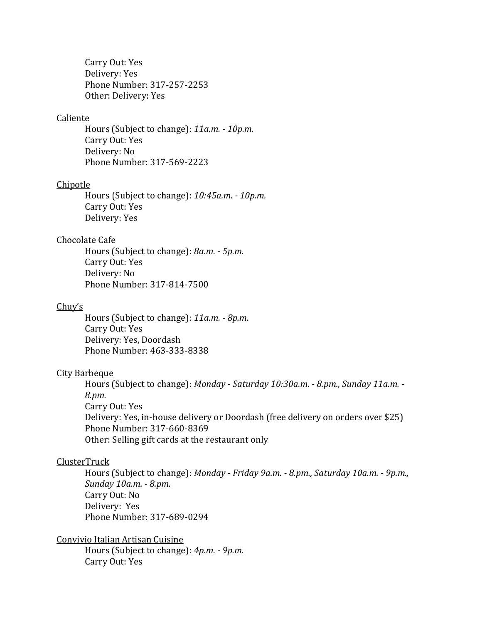Carry Out: Yes Delivery: Yes Phone Number: 317-257-2253 Other: Delivery: Yes

## [Caliente](https://www.calientemexicanrestaurant.net/)

Hours (Subject to change): *11a.m. - 10p.m.* Carry Out: Yes Delivery: No Phone Number: 317-569-2223

#### Chipotle

Hours (Subject to change): *10:45a.m. - 10p.m.* Carry Out: [Yes](https://www.chipotle.com/) Delivery: [Yes](https://www.chipotle.com/)

### [Chocolate Cafe](https://sbchocolate.com/?fbclid=IwAR1AgN6kr7XTMgGhtpI2PFbU9a5KAgQKlg0vJzzNmWIZcruAXrSxmfolqYg)

Hours (Subject to change): *8a.m. - 5p.m.* Carry Out: Yes Delivery: No Phone Number: 317-814-7500

#### [Chuy's](https://www.chuys.com/locations/indiana/carmel)

Hours (Subject to change): *11a.m. - 8p.m.* Carry Out: Yes Delivery: Yes, Doordash Phone Number: 463-333-8338

### [City Barbeque](https://www.citybbq.com/)

Hours (Subject to change): *Monday - Saturday 10:30a.m. - 8.pm., Sunday 11a.m. - 8.pm.* Carry Out: Yes Delivery: Yes, in-house delivery or Doordash (free delivery on orders over \$25) Phone Number: 317-660-8369 Other: Selling gift cards at the restaurant only

### [ClusterTruck](https://carmel.clustertruck.com/menu)

Hours (Subject to change): *Monday - Friday 9a.m. - 8.pm., Saturday 10a.m. - 9p.m., Sunday 10a.m. - 8.pm.* Carry Out: No Delivery: Yes Phone Number: 317-689-0294

[Convivio Italian Artisan Cuisine](http://www.convivioindy.com/?fbclid=IwAR3GgIavoxjcXWRMauBSxUYed8diAtctMCRVl4ffz3A9xoB4mXyXtQr1N2E) Hours (Subject to change): *4p.m. - 9p.m.* Carry Out: Yes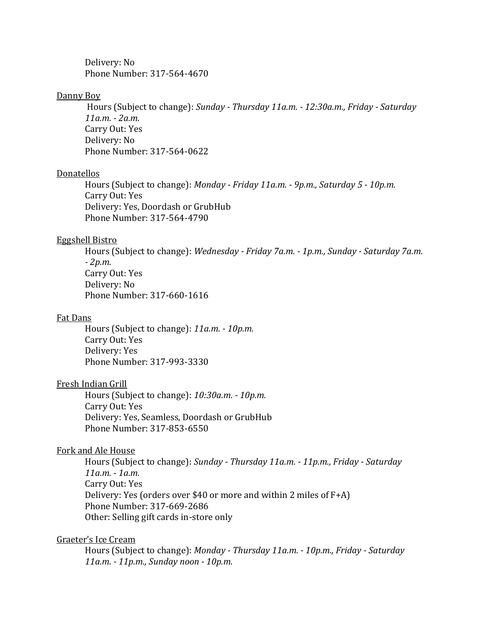Delivery: No Phone Number: 317-564-4670

### [Danny Boy](http://www.dannyboybeerworks.com/)

Hours (Subject to change): *Sunday - Thursday 11a.m. - 12:30a.m., Friday - Saturday 11a.m. - 2a.m.* Carry Out: Yes Delivery: No Phone Number: 317-564-0622

## **[Donatellos](http://donatellositalian.com/menu)**

Hours (Subject to change): *Monday - Friday 11a.m. - 9p.m., Saturday 5 - 10p.m.* Carry Out: Yes Delivery: Yes, Doordash or GrubHub Phone Number: 317-564-4790

### [Eggshell Bistro](http://www.eggshellbistro.com/)

Hours (Subject to change): *Wednesday - Friday 7a.m. - 1p.m., Sunday - Saturday 7a.m. - 2p.m.* Carry Out: Yes Delivery: No Phone Number: 317-660-1616

## [Fat Dans](http://fatdansdeli.com/?fbclid=IwAR20cnPgNbjnkG11shaMip40VKfAlRbrSGjELUhtOiC7yDJOOPMWc7DMjxM)

Hours (Subject to change): *11a.m. - 10p.m.* Carry Out: Yes Delivery: Yes Phone Number: 317-993-3330

## [Fresh Indian Grill](about:blank)

Hours (Subject to change): *10:30a.m. - 10p.m.* Carry Out: Yes Delivery: Yes, Seamless, Doordash or GrubHub Phone Number: 317-853-6550

#### [Fork and Ale House](https://forkalehouse.com/)

Hours (Subject to change): *Sunday - Thursday 11a.m. - 11p.m., Friday - Saturday 11a.m. - 1a.m.* Carry Out: Yes Delivery: Yes (orders over \$40 or more and within 2 miles of F+A) Phone Number: 317-669-2686 Other: Selling gift cards in-store only

### [Graeter's Ice Cream](https://www.graeters.com/stores/retail-stores/indianapolis/carmel)

Hours (Subject to change): *Monday - Thursday 11a.m. - 10p.m., Friday - Saturday 11a.m. - 11p.m., Sunday noon - 10p.m.*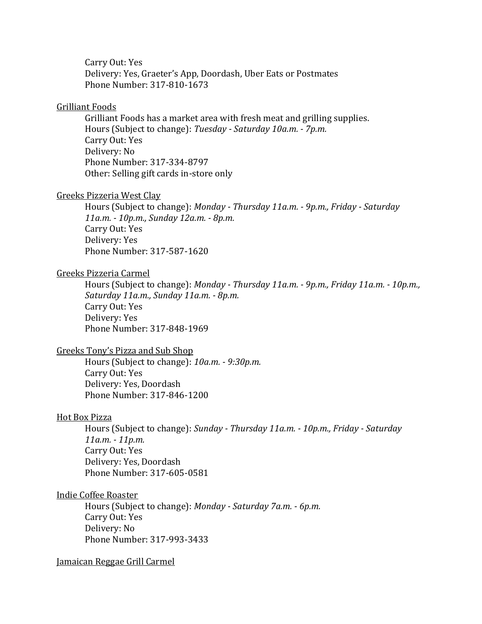Carry Out: Yes Delivery: Yes, Graeter's App, Doordash, Uber Eats or Postmates Phone Number: 317-810-1673

### [Grilliant Foods](http://www.grilliantfoods.com/)

Grilliant Foods has a market area with fresh meat and grilling supplies. Hours (Subject to change): *Tuesday - Saturday 10a.m. - 7p.m.* Carry Out: Yes Delivery: No Phone Number: 317-334-8797 Other: Selling gift cards in-store only

#### [Greeks Pizzeria West Clay](https://greekspizzeria.com/)

Hours (Subject to change): *Monday - Thursday 11a.m. - 9p.m., Friday - Saturday 11a.m. - 10p.m., Sunday 12a.m. - 8p.m.* Carry Out: Yes Delivery: Yes Phone Number: 317-587-1620

## [Greeks Pizzeria Carmel](http://www.greekspizzeria.com/)

Hours (Subject to change): *Monday - Thursday 11a.m. - 9p.m., Friday 11a.m. - 10p.m., Saturday 11a.m., Sunday 11a.m. - 8p.m.* Carry Out: Yes Delivery: Yes Phone Number: 317-848-1969

## [Greeks Tony's Pizza and Sub Shop](https://www.facebook.com/GreekTonysPizzaandSubShop/)

Hours (Subject to change): *10a.m. - 9:30p.m.* Carry Out: Yes Delivery: Yes, Doordash Phone Number: 317-846-1200

#### [Hot Box Pizza](https://www.hotboxpizza.com/locations-2/carmel-in/)

Hours (Subject to change): *Sunday - Thursday 11a.m. - 10p.m., Friday - Saturday 11a.m. - 11p.m.* Carry Out: Yes Delivery: Yes, Doordash Phone Number: 317-605-0581

[Indie Coffee Roaster](https://indiecoffeeroasters.com/)

Hours (Subject to change): *Monday - Saturday 7a.m. - 6p.m.* Carry Out: Yes Delivery: No Phone Number: 317-993-3433

#### [Jamaican Reggae Grill Carmel](http://www.jamaicanreggaegrill.com/?fbclid=IwAR088cBOAkzx9GzbNdYHbibW6jRghc2gkPAtPnv6LKVfXg3epHjtmBUs7yE)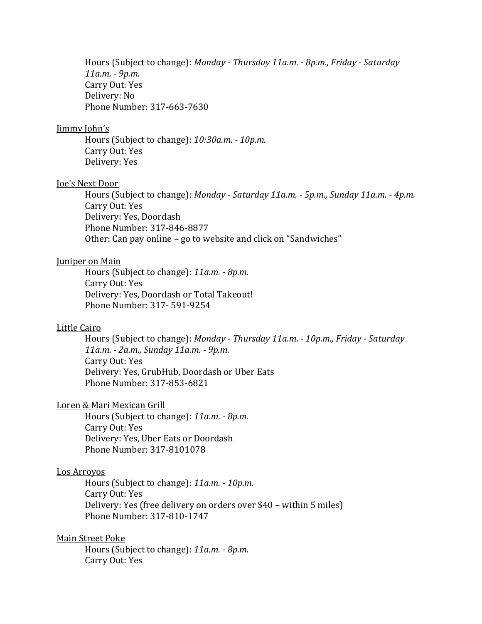Hours (Subject to change): *Monday - Thursday 11a.m. - 8p.m., Friday - Saturday 11a.m. - 9p.m.* Carry Out: Yes Delivery: No Phone Number: 317-663-7630

#### [Jimmy](https://joesnextdoor.com/) John's

Hours (Subject to change): *10:30a.m. - 10p.m.* Carry Out: [Yes](https://www.jimmyjohns.com/) Delivery: [Yes](https://www.jimmyjohns.com/)

### [Joe's Next Door](https://joesnextdoor.com/)

Hours (Subject to change): *Monday - Saturday 11a.m. - 5p.m., Sunday 11a.m. - 4p.m.* Carry Out: Yes Delivery: Yes, Doordash Phone Number: 317-846-8877 Other: Can pay online – go to website and click on "Sandwiches"

### [Juniper on Main](http://juniperonmain.com/?fbclid=IwAR0KVEkKeQPJ1Yp61AtEzpE3KeTfYhtEWXOaAQT2yuuQCFnbOa-X_vBr4O8)

Hours (Subject to change): *11a.m. - 8p.m.* Carry Out: Yes Delivery: Yes, Doordash or Total Takeout! Phone Number: 317- 591-9254

## [Little Cairo](http://littlecairocafe.com/?fbclid=IwAR2yaVIcrU8ikpLNVsX3eK0FEebMdubVoHKoaw4arxrB732-rdRFaKsuY0E)

Hours (Subject to change): *Monday - Thursday 11a.m. - 10p.m., Friday - Saturday 11a.m. - 2a.m., Sunday 11a.m. - 9p.m.* Carry Out: Yes Delivery: Yes, GrubHub, Doordash or Uber Eats Phone Number: 317-853-6821

#### [Loren](http://losarroyosindy.com/?fbclid=IwAR1mjFelNrUuYYMS0CK1r2KtFr0emLfPXk9pQSspHxd8_HoPLYnDeRmj-80) & Mari Mexican Grill

Hours (Subject to change): *11a.m. - 8p.m.* Carry Out: Yes Delivery: Yes, Uber Eats or Doordash Phone Number: 317-8101078

## [Los Arroyos](http://losarroyosindy.com/?fbclid=IwAR1mjFelNrUuYYMS0CK1r2KtFr0emLfPXk9pQSspHxd8_HoPLYnDeRmj-80)

Hours (Subject to change): *11a.m. - 10p.m.* Carry Out: Yes Delivery: Yes (free delivery on orders over \$40 – within 5 miles) Phone Number: 317-810-1747

#### Main Street Poke

Hours (Subject to change): *11a.m. - 8p.m.* Carry Out: Yes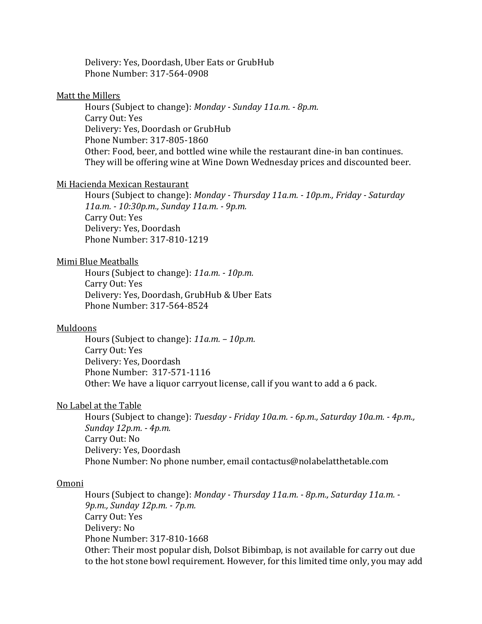Delivery: Yes, Doordash, Uber Eats or GrubHub Phone Number: 317-564-0908

### [Matt the Millers](https://mtmtavern.com/)

Hours (Subject to change): *Monday - Sunday 11a.m. - 8p.m.* Carry Out: Yes Delivery: Yes, Doordash or GrubHub Phone Number: 317-805-1860 Other: Food, beer, and bottled wine while the restaurant dine-in ban continues. They will be offering wine at Wine Down Wednesday prices and discounted beer.

### [Mi Hacienda Mexican Restaurant](http://www.mihaciendacarmel.com/)

Hours (Subject to change): *Monday - Thursday 11a.m. - 10p.m., Friday - Saturday 11a.m. - 10:30p.m., Sunday 11a.m. - 9p.m.* Carry Out: Yes Delivery: Yes, Doordash Phone Number: 317-810-1219

## [Mimi Blue Meatballs](http://www.mimibluemeatballs.com/?fbclid=IwAR09JRshN2wDbJmcj6ek5Y5SGKWivstu0X9xVkQn-UuIH1AqV1ePXw7ijKo)

Hours (Subject to change): *11a.m. - 10p.m.* Carry Out: Yes Delivery: Yes, Doordash, GrubHub & Uber Eats Phone Number: 317-564-8524

#### [Muldoons](http://muldoons.net/?fbclid=IwAR2gNVDO6gu880pjo3tUvQEvjkJi3_vdyy3rPaVcYOwHmyqMSCZxu03CyKQ)

Hours (Subject to change): *11a.m. – 10p.m.* Carry Out: Yes Delivery: Yes, Doordash Phone Number: 317-571-1116 Other: We have a liquor carryout license, call if you want to add a 6 pack.

## [No Label at the Table](https://nolabelatthetable.com/)

Hours (Subject to change): *Tuesday - Friday 10a.m. - 6p.m., Saturday 10a.m. - 4p.m., Sunday 12p.m. - 4p.m.* Carry Out: No Delivery: Yes, Doordash Phone Number: No phone number, email contactus@nolabelatthetable.com

### [Omoni](http://omonigrill.com/)

Hours (Subject to change): *Monday - Thursday 11a.m. - 8p.m., Saturday 11a.m. - 9p.m., Sunday 12p.m. - 7p.m.* Carry Out: Yes Delivery: No Phone Number: 317-810-1668 Other: Their most popular dish, Dolsot Bibimbap, is not available for carry out due to the hot stone bowl requirement. However, for this limited time only, you may add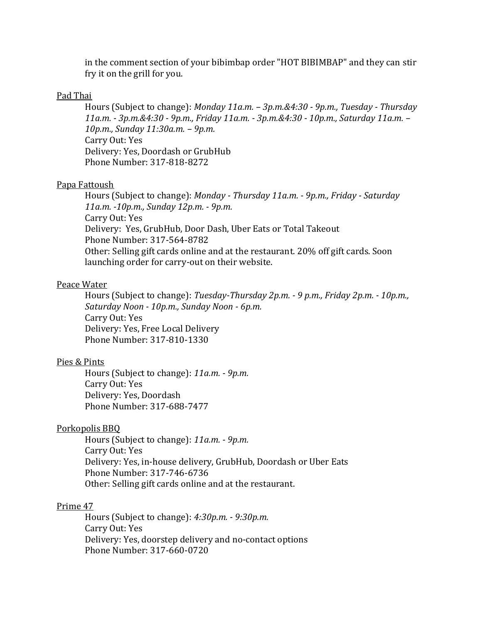in the comment section of your bibimbap order "HOT BIBIMBAP" and they can stir fry it on the grill for you.

### [Pad Thai](http://carmelpadthai.com/?fbclid=IwAR3IQKog17Ye-fkzunNvB8ScRQP4DE7JKSIKBGwZyq0WZGj7DMP0LoEmDFY)

Hours (Subject to change): *Monday 11a.m. – 3p.m.&4:30 - 9p.m., Tuesday - Thursday 11a.m. - 3p.m.&4:30 - 9p.m., Friday 11a.m. - 3p.m.&4:30 - 10p.m., Saturday 11a.m. – 10p.m., Sunday 11:30a.m. – 9p.m.* Carry Out: Yes Delivery: Yes, Doordash or GrubHub Phone Number: 317-818-8272

#### [Papa Fattoush](http://www.papafattoush.com/)

Hours (Subject to change): *Monday - Thursday 11a.m. - 9p.m., Friday - Saturday 11a.m. -10p.m., Sunday 12p.m. - 9p.m.* Carry Out: Yes Delivery: Yes, GrubHub, Door Dash, Uber Eats or Total Takeout Phone Number: 317-564-8782 Other: Selling gift cards online and at the restaurant. 20% off gift cards. Soon launching order for carry-out on their website.

### [Peace Water](https://www.peacewaterwinery.com/locations/)

Hours (Subject to change): *Tuesday-Thursday 2p.m. - 9 p.m., Friday 2p.m. - 10p.m., Saturday Noon - 10p.m., Sunday Noon - 6p.m.* Carry Out: Yes Delivery: Yes, Free Local Delivery Phone Number: 317-810-1330

#### [Pies & Pints](https://l.facebook.com/l.php?u=https%3A%2F%2Fpiesandpints.net%2Flocation%2Fcarmel-in%2F%3Ffbclid%3DIwAR2roCRxo0iUG6ui-u7UK77shlOiPKq33YmhZ2wIdwQNzF5wKxrbGpOrVDs&h=AT0sxyqxB6kvRKnFrJ7akc0m8iUdBW1WfjAdSJ1BWVk0haLwkpeMhFFdg_hxckJJsLSuBt8hBh-IrrFKcbMx6M7ekp-IrBHWD01enk2PZXqhTJdHnpU0naDLQdxNxWiIkfIds6Jw2TYHD9ADAlbxHQ)

Hours (Subject to change): *11a.m. - 9p.m.* Carry Out: Yes Delivery: Yes, Doordash Phone Number: 317-688-7477

## [Porkopolis BBQ](https://www.doordash.com/store/porkopolis-carmel-351070/)

Hours (Subject to change): *11a.m. - 9p.m.* Carry Out: Yes Delivery: Yes, in-house delivery, GrubHub, Doordash or Uber Eats Phone Number: 317-746-6736 Other: Selling gift cards online and at the restaurant.

### [Prime 47](http://prime47carmel.com/?fbclid=IwAR0jSRVE8_l03_6LU7QyLs43uKkbKwelUjK0DH0KPpC9OIsSh77hTO18xc4)

Hours (Subject to change): *4:30p.m. - 9:30p.m.* Carry Out: Yes Delivery: Yes, doorstep delivery and no-contact options Phone Number: 317-660-0720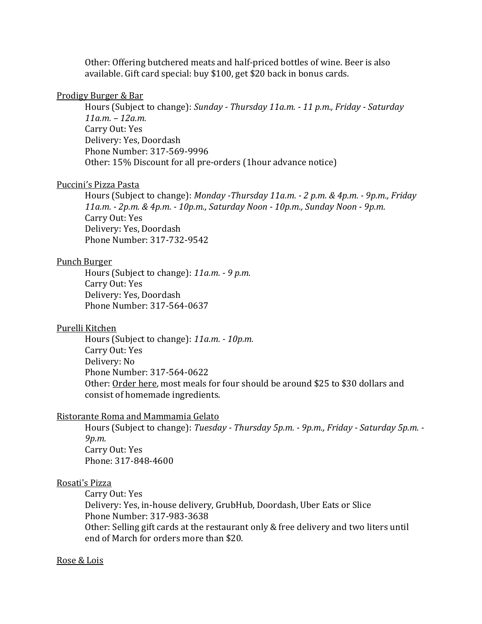Other: Offering butchered meats and half-priced bottles of wine. Beer is also available. Gift card special: buy \$100, get \$20 back in bonus cards.

## [Prodigy Burger & Bar](http://prodigyburgerbar.com/?fbclid=IwAR0B9qMQmcyjYPtJflErKzIJ1lz43XBiW0_YNcpJo0oDWz981Suo58E0sf0)

Hours (Subject to change): *Sunday - Thursday 11a.m. - 11 p.m., Friday - Saturday 11a.m. – 12a.m.* Carry Out: Yes Delivery: Yes, Doordash Phone Number: 317-569-9996 Other: 15% Discount for all pre-orders (1hour advance notice)

#### [Puccini's Pizza Pasta](https://www.puccinissmilingteeth.com/)

Hours (Subject to change): *Monday -Thursday 11a.m. - 2 p.m. & 4p.m. - 9p.m., Friday 11a.m. - 2p.m. & 4p.m. - 10p.m., Saturday Noon - 10p.m., Sunday Noon - 9p.m.* Carry Out: Yes Delivery: Yes, Doordash Phone Number: 317-732-9542

#### [Pun](https://www.puccinissmilingteeth.com/)ch Burger

Hours (Subject to change): *11a.m. - 9 p.m.*  Carry Out: Yes Delivery: Yes, Doordash Phone Number: 317-564-0637

### Purelli Kitchen

Hours (Subject to change): *11a.m. - 10p.m.* Carry Out: Yes Delivery: No Phone Number: 317-564-0622 Other: [Order here,](https://www.facebook.com/largerthanus/) most meals for four should be around \$25 to \$30 dollars and consist of homemade ingredients.

### [Ristorante](https://www.rosatispizza.com/location/carmel-in/) Roma and Mammamia Gelato

Hours (Subject to change): *Tuesday - Thursday 5p.m. - 9p.m., Friday - Saturday 5p.m. - 9p.m.* Carry Out: Yes Phone: 317-848-4600

### [Rosati's Pizza](https://www.rosatispizza.com/location/carmel-in/)

Carry Out: Yes Delivery: Yes, in-house delivery, GrubHub, Doordash, Uber Eats or Slice Phone Number: 317-983-3638 Other: Selling gift cards at the restaurant only & free delivery and two liters until end of March for orders more than \$20.

### [Rose & Lois](https://www.roseandlois.com/)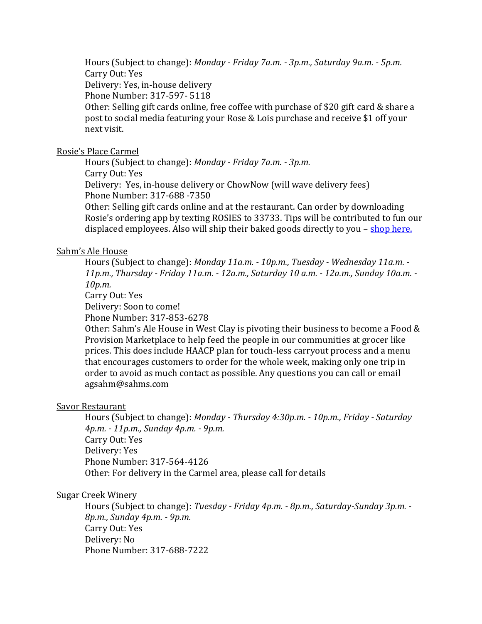Hours (Subject to change): *Monday - Friday 7a.m. - 3p.m., Saturday 9a.m. - 5p.m.* Carry Out: Yes Delivery: Yes, in-house delivery Phone Number: 317-597- 5118 Other: Selling gift cards online, free coffee with purchase of \$20 gift card & share a post to social media featuring your Rose & Lois purchase and receive \$1 off your next visit.

## [Rosie's Place Carmel](https://rosiesplace.net/)

Hours (Subject to change): *Monday - Friday 7a.m. - 3p.m.* Carry Out: Yes Delivery: Yes, in-house delivery or ChowNow (will wave delivery fees) Phone Number: 317-688 -7350 Other: Selling gift cards online and at the restaurant. Can order by downloading

Rosie's ordering app by texting ROSIES to 33733. Tips will be contributed to fun our displaced employees. Also will ship their baked goods directly to you – [shop here.](https://rosiesplace.net/shop/)

## [Sahm's Ale House](https://sahmsalehouse.com/carmel/)

Hours (Subject to change): *Monday 11a.m. - 10p.m., Tuesday - Wednesday 11a.m. - 11p.m., Thursday - Friday 11a.m. - 12a.m., Saturday 10 a.m. - 12a.m., Sunday 10a.m. - 10p.m.*

Carry Out: Yes

Delivery: Soon to come!

Phone Number: 317-853-6278

Other: Sahm's Ale House in West Clay is pivoting their business to become a Food & Provision Marketplace to help feed the people in our communities at grocer like prices. This does include HAACP plan for touch-less carryout process and a menu that encourages customers to order for the whole week, making only one trip in order to avoid as much contact as possible. Any questions you can call or email agsahm@sahms.com

### [Savor Restaurant](https://savorcarmel.com/)

Hours (Subject to change): *Monday - Thursday 4:30p.m. - 10p.m., Friday - Saturday 4p.m. - 11p.m., Sunday 4p.m. - 9p.m.* Carry Out: Yes Delivery: Yes Phone Number: 317-564-4126 Other: For delivery in the Carmel area, please call for details

### [Sugar Creek Winery](https://sugarcreekwinery.com/)

Hours (Subject to change): *Tuesday - Friday 4p.m. - 8p.m., Saturday-Sunday 3p.m. - 8p.m., Sunday 4p.m. - 9p.m.* Carry Out: Yes Delivery: No Phone Number: 317-688-7222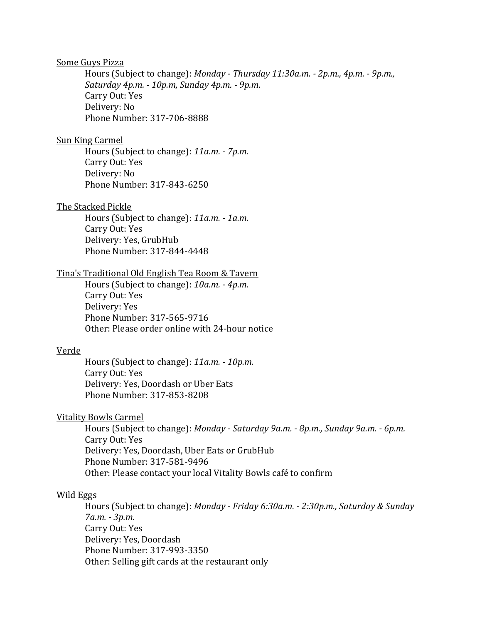### Some Guys Pizza

Hours (Subject to change): *Monday - Thursday 11:30a.m. - 2p.m., 4p.m. - 9p.m., Saturday 4p.m. - 10p.m, Sunday 4p.m. - 9p.m.* Carry Out: Yes Delivery: No Phone Number: 317-706-8888

### [Sun King Carmel](https://www.sunkingbrewing.com/spirits/)

Hours (Subject to change): *11a.m. - 7p.m.* Carry Out: Yes Delivery: No Phone Number: 317-843-6250

#### [The Stacked Pickle](https://stackedpickle.com/)

Hours (Subject to change): *11a.m. - 1a.m.* Carry Out: Yes Delivery: Yes, GrubHub Phone Number: 317-844-4448

## [Tina's Traditional Old English Tea Room & Tavern](https://www.tinastraditional.com/)

Hours (Subject to change): *10a.m. - 4p.m.* Carry Out: Yes Delivery: Yes Phone Number: 317-565-9716 Other: Please order online with 24-hour notice

## [Verde](http://www.verdeflavorsofmexico.com/?fbclid=IwAR2L9MqFmrnjqTkWQPWeaSoytQ2RhVfMP7gZx4NoTWzIC6QJADLJAF1kYW4)

Hours (Subject to change): *11a.m. - 10p.m.* Carry Out: Yes Delivery: Yes, Doordash or Uber Eats Phone Number: 317-853-8208

## [Vitality Bowls Carmel](https://vitalitybowls.com/locations/)

Hours (Subject to change): *Monday - Saturday 9a.m. - 8p.m., Sunday 9a.m. - 6p.m.* Carry Out: Yes Delivery: Yes, Doordash, Uber Eats or GrubHub Phone Number: 317-581-9496 Other: Please contact your local Vitality Bowls café to confirm

### [Wild Eggs](https://wildeggs.com/)

Hours (Subject to change): *Monday - Friday 6:30a.m. - 2:30p.m., Saturday & Sunday 7a.m. - 3p.m.* Carry Out: Yes Delivery: Yes, Doordash Phone Number: 317-993-3350 Other: Selling gift cards at the restaurant only